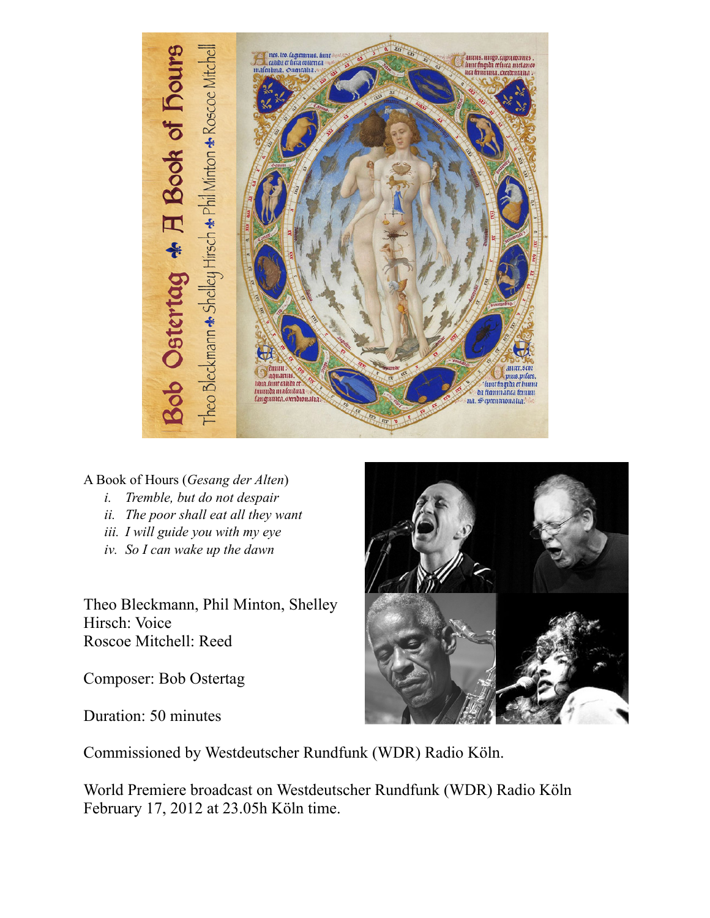

A Book of Hours (*Gesang der Alten*)

- *i. Tremble, but do not despair*
- *ii. The poor shall eat all they want*
- *iii. I will guide you with my eye*
- *iv. So I can wake up the dawn*

Theo Bleckmann, Phil Minton, Shelley Hirsch: Voice Roscoe Mitchell: Reed

Composer: Bob Ostertag

Duration: 50 minutes



Commissioned by Westdeutscher Rundfunk (WDR) Radio Köln.

World Premiere broadcast on Westdeutscher Rundfunk (WDR) Radio Köln February 17, 2012 at 23.05h Köln time.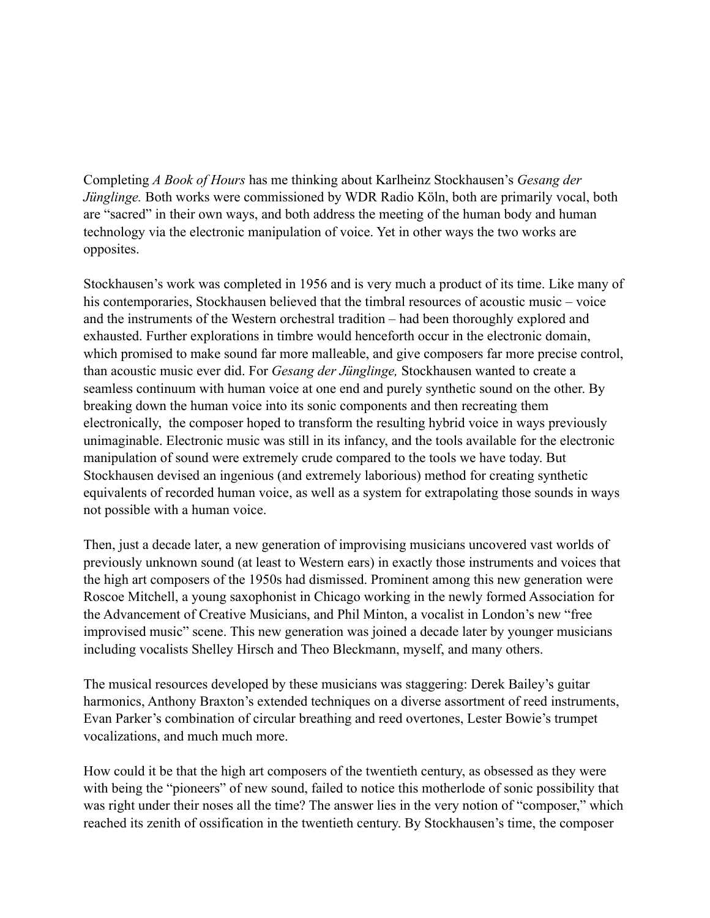Completing *A Book of Hours* has me thinking about Karlheinz Stockhausen's *Gesang der Jünglinge.* Both works were commissioned by WDR Radio Köln, both are primarily vocal, both are "sacred" in their own ways, and both address the meeting of the human body and human technology via the electronic manipulation of voice. Yet in other ways the two works are opposites.

Stockhausen's work was completed in 1956 and is very much a product of its time. Like many of his contemporaries, Stockhausen believed that the timbral resources of acoustic music – voice and the instruments of the Western orchestral tradition – had been thoroughly explored and exhausted. Further explorations in timbre would henceforth occur in the electronic domain, which promised to make sound far more malleable, and give composers far more precise control, than acoustic music ever did. For *Gesang der Jünglinge,* Stockhausen wanted to create a seamless continuum with human voice at one end and purely synthetic sound on the other. By breaking down the human voice into its sonic components and then recreating them electronically, the composer hoped to transform the resulting hybrid voice in ways previously unimaginable. Electronic music was still in its infancy, and the tools available for the electronic manipulation of sound were extremely crude compared to the tools we have today. But Stockhausen devised an ingenious (and extremely laborious) method for creating synthetic equivalents of recorded human voice, as well as a system for extrapolating those sounds in ways not possible with a human voice.

Then, just a decade later, a new generation of improvising musicians uncovered vast worlds of previously unknown sound (at least to Western ears) in exactly those instruments and voices that the high art composers of the 1950s had dismissed. Prominent among this new generation were Roscoe Mitchell, a young saxophonist in Chicago working in the newly formed Association for the Advancement of Creative Musicians, and Phil Minton, a vocalist in London's new "free improvised music" scene. This new generation was joined a decade later by younger musicians including vocalists Shelley Hirsch and Theo Bleckmann, myself, and many others.

The musical resources developed by these musicians was staggering: Derek Bailey's guitar harmonics, Anthony Braxton's extended techniques on a diverse assortment of reed instruments, Evan Parker's combination of circular breathing and reed overtones, Lester Bowie's trumpet vocalizations, and much much more.

How could it be that the high art composers of the twentieth century, as obsessed as they were with being the "pioneers" of new sound, failed to notice this motherlode of sonic possibility that was right under their noses all the time? The answer lies in the very notion of "composer," which reached its zenith of ossification in the twentieth century. By Stockhausen's time, the composer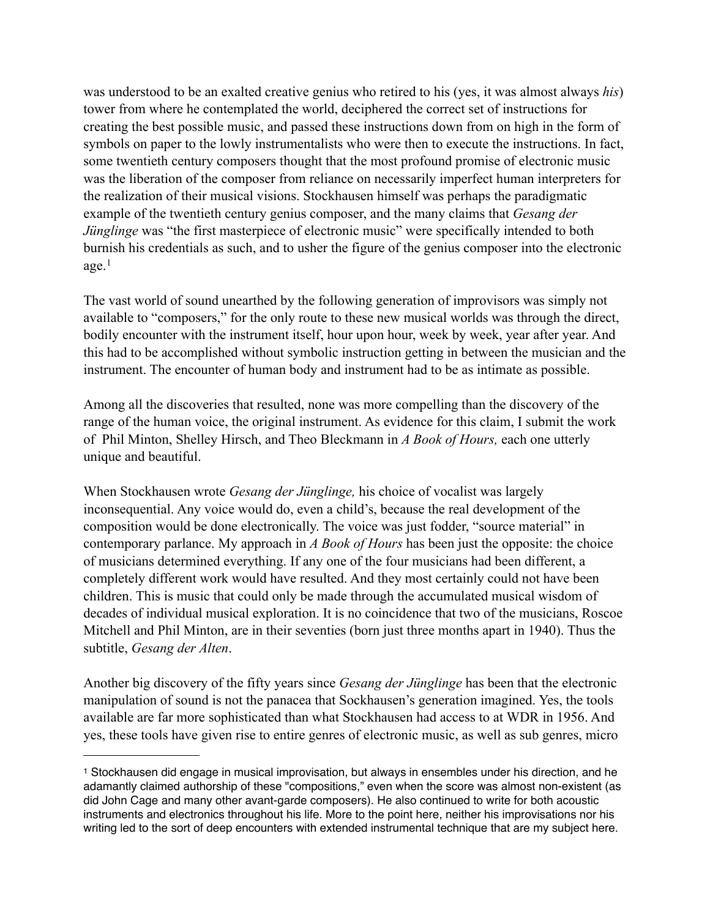was understood to be an exalted creative genius who retired to his (yes, it was almost always *his*) tower from where he contemplated the world, deciphered the correct set of instructions for creating the best possible music, and passed these instructions down from on high in the form of symbols on paper to the lowly instrumentalists who were then to execute the instructions. In fact, some twentieth century composers thought that the most profound promise of electronic music was the liberation of the composer from reliance on necessarily imperfect human interpreters for the realization of their musical visions. Stockhausen himself was perhaps the paradigmatic example of the twentieth century genius composer, and the many claims that *Gesang der Jünglinge* was "the first masterpiece of electronic music" were specifically intended to both burnish his credentials as such, and to usher the figure of the genius composer into the electronic  $age<sup>1</sup>$  $age<sup>1</sup>$  $age<sup>1</sup>$ 

The vast world of sound unearthed by the following generation of improvisors was simply not available to "composers," for the only route to these new musical worlds was through the direct, bodily encounter with the instrument itself, hour upon hour, week by week, year after year. And this had to be accomplished without symbolic instruction getting in between the musician and the instrument. The encounter of human body and instrument had to be as intimate as possible.

Among all the discoveries that resulted, none was more compelling than the discovery of the range of the human voice, the original instrument. As evidence for this claim, I submit the work of Phil Minton, Shelley Hirsch, and Theo Bleckmann in *A Book of Hours,* each one utterly unique and beautiful.

When Stockhausen wrote *Gesang der Jünglinge,* his choice of vocalist was largely inconsequential. Any voice would do, even a child's, because the real development of the composition would be done electronically. The voice was just fodder, "source material" in contemporary parlance. My approach in *A Book of Hours* has been just the opposite: the choice of musicians determined everything. If any one of the four musicians had been different, a completely different work would have resulted. And they most certainly could not have been children. This is music that could only be made through the accumulated musical wisdom of decades of individual musical exploration. It is no coincidence that two of the musicians, Roscoe Mitchell and Phil Minton, are in their seventies (born just three months apart in 1940). Thus the subtitle, *Gesang der Alten*.

Another big discovery of the fifty years since *Gesang der Jünglinge* has been that the electronic manipulation of sound is not the panacea that Sockhausen's generation imagined. Yes, the tools available are far more sophisticated than what Stockhausen had access to at WDR in 1956. And yes, these tools have given rise to entire genres of electronic music, as well as sub genres, micro

<span id="page-2-0"></span><sup>1</sup> Stockhausen did engage in musical improvisation, but always in ensembles under his direction, and he adamantly claimed authorship of these "compositions," even when the score was almost non-existent (as did John Cage and many other avant-garde composers). He also continued to write for both acoustic instruments and electronics throughout his life. More to the point here, neither his improvisations nor his writing led to the sort of deep encounters with extended instrumental technique that are my subject here.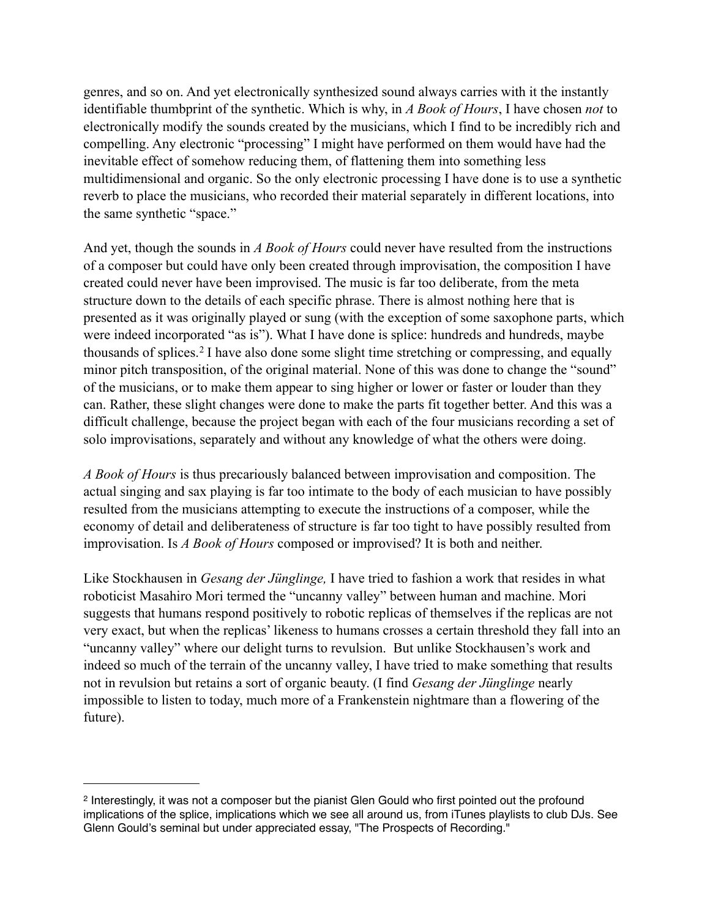genres, and so on. And yet electronically synthesized sound always carries with it the instantly identifiable thumbprint of the synthetic. Which is why, in *A Book of Hours*, I have chosen *not* to electronically modify the sounds created by the musicians, which I find to be incredibly rich and compelling. Any electronic "processing" I might have performed on them would have had the inevitable effect of somehow reducing them, of flattening them into something less multidimensional and organic. So the only electronic processing I have done is to use a synthetic reverb to place the musicians, who recorded their material separately in different locations, into the same synthetic "space."

And yet, though the sounds in *A Book of Hours* could never have resulted from the instructions of a composer but could have only been created through improvisation, the composition I have created could never have been improvised. The music is far too deliberate, from the meta structure down to the details of each specific phrase. There is almost nothing here that is presented as it was originally played or sung (with the exception of some saxophone parts, which were indeed incorporated "as is"). What I have done is splice: hundreds and hundreds, maybe thousands of splices.[2](#page-3-0) I have also done some slight time stretching or compressing, and equally minor pitch transposition, of the original material. None of this was done to change the "sound" of the musicians, or to make them appear to sing higher or lower or faster or louder than they can. Rather, these slight changes were done to make the parts fit together better. And this was a difficult challenge, because the project began with each of the four musicians recording a set of solo improvisations, separately and without any knowledge of what the others were doing.

*A Book of Hours* is thus precariously balanced between improvisation and composition. The actual singing and sax playing is far too intimate to the body of each musician to have possibly resulted from the musicians attempting to execute the instructions of a composer, while the economy of detail and deliberateness of structure is far too tight to have possibly resulted from improvisation. Is *A Book of Hours* composed or improvised? It is both and neither.

Like Stockhausen in *Gesang der Jünglinge,* I have tried to fashion a work that resides in what roboticist Masahiro Mori termed the "uncanny valley" between human and machine. Mori suggests that humans respond positively to robotic replicas of themselves if the replicas are not very exact, but when the replicas' likeness to humans crosses a certain threshold they fall into an "uncanny valley" where our delight turns to revulsion. But unlike Stockhausen's work and indeed so much of the terrain of the uncanny valley, I have tried to make something that results not in revulsion but retains a sort of organic beauty. (I find *Gesang der Jünglinge* nearly impossible to listen to today, much more of a Frankenstein nightmare than a flowering of the future).

<span id="page-3-0"></span><sup>2</sup> Interestingly, it was not a composer but the pianist Glen Gould who first pointed out the profound implications of the splice, implications which we see all around us, from iTunes playlists to club DJs. See Glenn Gould's seminal but under appreciated essay, "The Prospects of Recording."